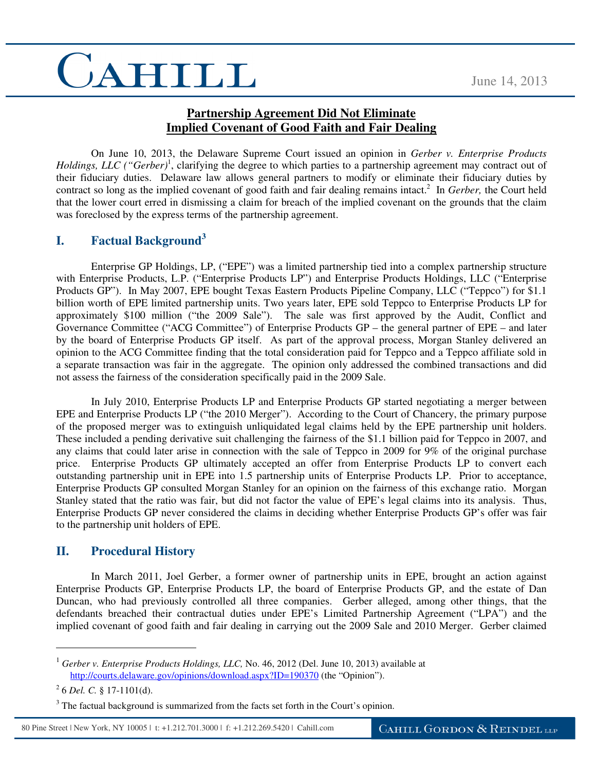# CAHILL

#### **Partnership Agreement Did Not Eliminate Implied Covenant of Good Faith and Fair Dealing**

On June 10, 2013, the Delaware Supreme Court issued an opinion in *Gerber v. Enterprise Products*  Holdings, LLC ("Gerber)<sup>1</sup>, clarifying the degree to which parties to a partnership agreement may contract out of their fiduciary duties. Delaware law allows general partners to modify or eliminate their fiduciary duties by contract so long as the implied covenant of good faith and fair dealing remains intact.<sup>2</sup> In *Gerber*, the Court held that the lower court erred in dismissing a claim for breach of the implied covenant on the grounds that the claim was foreclosed by the express terms of the partnership agreement.

### **I. Factual Background<sup>3</sup>**

 Enterprise GP Holdings, LP, ("EPE") was a limited partnership tied into a complex partnership structure with Enterprise Products, L.P. ("Enterprise Products LP") and Enterprise Products Holdings, LLC ("Enterprise Products GP"). In May 2007, EPE bought Texas Eastern Products Pipeline Company, LLC ("Teppco") for \$1.1 billion worth of EPE limited partnership units. Two years later, EPE sold Teppco to Enterprise Products LP for approximately \$100 million ("the 2009 Sale"). The sale was first approved by the Audit, Conflict and Governance Committee ("ACG Committee") of Enterprise Products GP – the general partner of EPE – and later by the board of Enterprise Products GP itself. As part of the approval process, Morgan Stanley delivered an opinion to the ACG Committee finding that the total consideration paid for Teppco and a Teppco affiliate sold in a separate transaction was fair in the aggregate. The opinion only addressed the combined transactions and did not assess the fairness of the consideration specifically paid in the 2009 Sale.

In July 2010, Enterprise Products LP and Enterprise Products GP started negotiating a merger between EPE and Enterprise Products LP ("the 2010 Merger"). According to the Court of Chancery, the primary purpose of the proposed merger was to extinguish unliquidated legal claims held by the EPE partnership unit holders. These included a pending derivative suit challenging the fairness of the \$1.1 billion paid for Teppco in 2007, and any claims that could later arise in connection with the sale of Teppco in 2009 for 9% of the original purchase price. Enterprise Products GP ultimately accepted an offer from Enterprise Products LP to convert each outstanding partnership unit in EPE into 1.5 partnership units of Enterprise Products LP. Prior to acceptance, Enterprise Products GP consulted Morgan Stanley for an opinion on the fairness of this exchange ratio. Morgan Stanley stated that the ratio was fair, but did not factor the value of EPE's legal claims into its analysis. Thus, Enterprise Products GP never considered the claims in deciding whether Enterprise Products GP's offer was fair to the partnership unit holders of EPE.

#### **II. Procedural History**

In March 2011, Joel Gerber, a former owner of partnership units in EPE, brought an action against Enterprise Products GP, Enterprise Products LP, the board of Enterprise Products GP, and the estate of Dan Duncan, who had previously controlled all three companies. Gerber alleged, among other things, that the defendants breached their contractual duties under EPE's Limited Partnership Agreement ("LPA") and the implied covenant of good faith and fair dealing in carrying out the 2009 Sale and 2010 Merger. Gerber claimed

 $\overline{a}$ 

80 Pine Street | New York, NY 10005 | t: +1.212.701.3000 | f: +1.212.269.5420 | Cahill.com

<sup>&</sup>lt;sup>1</sup> Gerber v. Enterprise Products Holdings, LLC, No. 46, 2012 (Del. June 10, 2013) available at http://courts.delaware.gov/opinions/download.aspx?ID=190370 (the "Opinion").

<sup>2</sup> 6 *Del. C.* § 17-1101(d).

 $3$  The factual background is summarized from the facts set forth in the Court's opinion.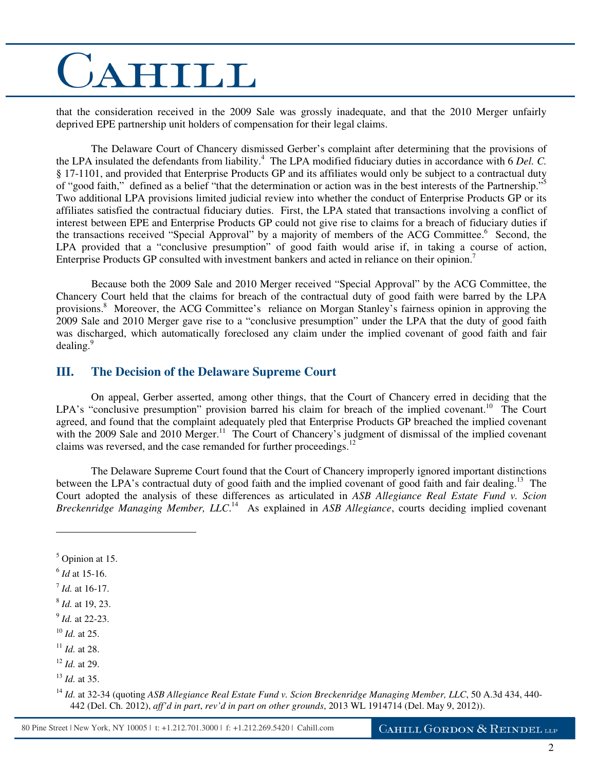# CAHILL

that the consideration received in the 2009 Sale was grossly inadequate, and that the 2010 Merger unfairly deprived EPE partnership unit holders of compensation for their legal claims.

The Delaware Court of Chancery dismissed Gerber's complaint after determining that the provisions of the LPA insulated the defendants from liability.<sup>4</sup> The LPA modified fiduciary duties in accordance with 6 *Del. C.* § 17-1101, and provided that Enterprise Products GP and its affiliates would only be subject to a contractual duty of "good faith," defined as a belief "that the determination or action was in the best interests of the Partnership."<sup>5</sup> Two additional LPA provisions limited judicial review into whether the conduct of Enterprise Products GP or its affiliates satisfied the contractual fiduciary duties. First, the LPA stated that transactions involving a conflict of interest between EPE and Enterprise Products GP could not give rise to claims for a breach of fiduciary duties if the transactions received "Special Approval" by a majority of members of the ACG Committee.<sup>6</sup> Second, the LPA provided that a "conclusive presumption" of good faith would arise if, in taking a course of action, Enterprise Products GP consulted with investment bankers and acted in reliance on their opinion.<sup>7</sup>

Because both the 2009 Sale and 2010 Merger received "Special Approval" by the ACG Committee, the Chancery Court held that the claims for breach of the contractual duty of good faith were barred by the LPA provisions.<sup>8</sup> Moreover, the ACG Committee's reliance on Morgan Stanley's fairness opinion in approving the 2009 Sale and 2010 Merger gave rise to a "conclusive presumption" under the LPA that the duty of good faith was discharged, which automatically foreclosed any claim under the implied covenant of good faith and fair dealing. $9$ 

#### **III. The Decision of the Delaware Supreme Court**

On appeal, Gerber asserted, among other things, that the Court of Chancery erred in deciding that the LPA's "conclusive presumption" provision barred his claim for breach of the implied covenant.<sup>10</sup> The Court agreed, and found that the complaint adequately pled that Enterprise Products GP breached the implied covenant with the 2009 Sale and 2010 Merger.<sup>11</sup> The Court of Chancery's judgment of dismissal of the implied covenant claims was reversed, and the case remanded for further proceedings.<sup>12</sup>

 The Delaware Supreme Court found that the Court of Chancery improperly ignored important distinctions between the LPA's contractual duty of good faith and the implied covenant of good faith and fair dealing.<sup>13</sup> The Court adopted the analysis of these differences as articulated in *ASB Allegiance Real Estate Fund v. Scion Breckenridge Managing Member, LLC*. <sup>14</sup> As explained in *ASB Allegiance*, courts deciding implied covenant

 $\overline{a}$ 

- 9 *Id.* at 22-23.
- <sup>10</sup> *Id.* at 25.
- <sup>11</sup> *Id.* at 28.

<sup>5</sup> Opinion at 15.

<sup>6</sup> *Id* at 15-16.

<sup>7</sup> *Id.* at 16-17.

<sup>8</sup> *Id.* at 19, 23.

<sup>12</sup> *Id.* at 29.

<sup>13</sup> *Id.* at 35.

<sup>14</sup> *Id.* at 32-34 (quoting *ASB Allegiance Real Estate Fund v. Scion Breckenridge Managing Member, LLC*, 50 A.3d 434, 440- 442 (Del. Ch. 2012), *aff'd in part*, *rev'd in part on other grounds*, 2013 WL 1914714 (Del. May 9, 2012)).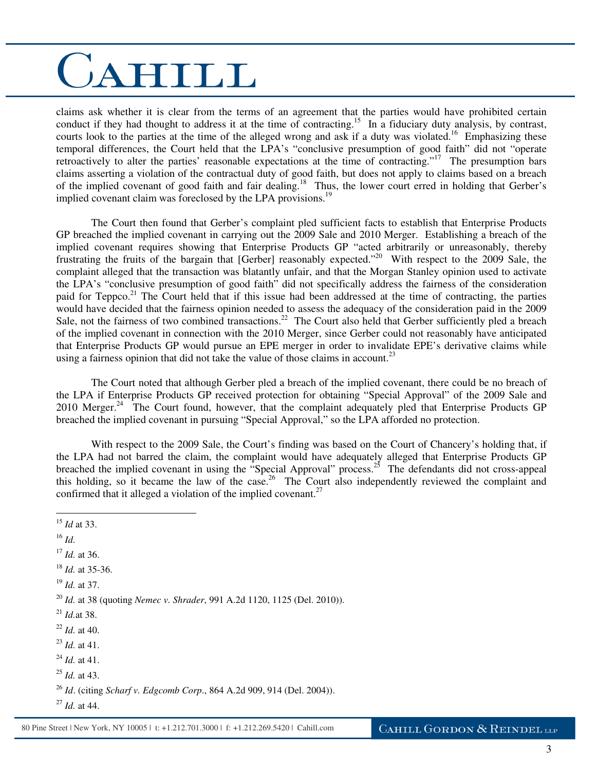### CAHILL

claims ask whether it is clear from the terms of an agreement that the parties would have prohibited certain conduct if they had thought to address it at the time of contracting.<sup>15</sup> In a fiduciary duty analysis, by contrast, courts look to the parties at the time of the alleged wrong and ask if a duty was violated.<sup>16</sup> Emphasizing these temporal differences, the Court held that the LPA's "conclusive presumption of good faith" did not "operate retroactively to alter the parties' reasonable expectations at the time of contracting."<sup>17</sup> The presumption bars claims asserting a violation of the contractual duty of good faith, but does not apply to claims based on a breach of the implied covenant of good faith and fair dealing.<sup>18</sup> Thus, the lower court erred in holding that Gerber's implied covenant claim was foreclosed by the LPA provisions.<sup>19</sup>

The Court then found that Gerber's complaint pled sufficient facts to establish that Enterprise Products GP breached the implied covenant in carrying out the 2009 Sale and 2010 Merger. Establishing a breach of the implied covenant requires showing that Enterprise Products GP "acted arbitrarily or unreasonably, thereby frustrating the fruits of the bargain that [Gerber] reasonably expected."<sup>20</sup> With respect to the 2009 Sale, the complaint alleged that the transaction was blatantly unfair, and that the Morgan Stanley opinion used to activate the LPA's "conclusive presumption of good faith" did not specifically address the fairness of the consideration paid for Teppco.<sup>21</sup> The Court held that if this issue had been addressed at the time of contracting, the parties would have decided that the fairness opinion needed to assess the adequacy of the consideration paid in the 2009 Sale, not the fairness of two combined transactions.<sup>22</sup> The Court also held that Gerber sufficiently pled a breach of the implied covenant in connection with the 2010 Merger, since Gerber could not reasonably have anticipated that Enterprise Products GP would pursue an EPE merger in order to invalidate EPE's derivative claims while using a fairness opinion that did not take the value of those claims in account.<sup>23</sup>

The Court noted that although Gerber pled a breach of the implied covenant, there could be no breach of the LPA if Enterprise Products GP received protection for obtaining "Special Approval" of the 2009 Sale and 2010 Merger.<sup>24</sup> The Court found, however, that the complaint adequately pled that Enterprise Products GP breached the implied covenant in pursuing "Special Approval," so the LPA afforded no protection.

With respect to the 2009 Sale, the Court's finding was based on the Court of Chancery's holding that, if the LPA had not barred the claim, the complaint would have adequately alleged that Enterprise Products GP breached the implied covenant in using the "Special Approval" process.<sup>25</sup> The defendants did not cross-appeal this holding, so it became the law of the case.<sup>26</sup> The Court also independently reviewed the complaint and confirmed that it alleged a violation of the implied covenant. $27$ 

 $\overline{a}$ 

<sup>15</sup> *Id* at 33. <sup>16</sup> *Id.* <sup>17</sup> *Id.* at 36. <sup>18</sup> *Id.* at 35-36. <sup>19</sup> *Id.* at 37. <sup>20</sup> *Id.* at 38 (quoting *Nemec v. Shrader*, 991 A.2d 1120, 1125 (Del. 2010)). <sup>21</sup> *Id.*at 38. <sup>22</sup> *Id.* at 40. <sup>23</sup> *Id.* at 41. <sup>24</sup> *Id.* at 41. <sup>25</sup> *Id.* at 43. <sup>26</sup> *Id*. (citing *Scharf v. Edgcomb Corp*., 864 A.2d 909, 914 (Del. 2004)). <sup>27</sup> *Id.* at 44.